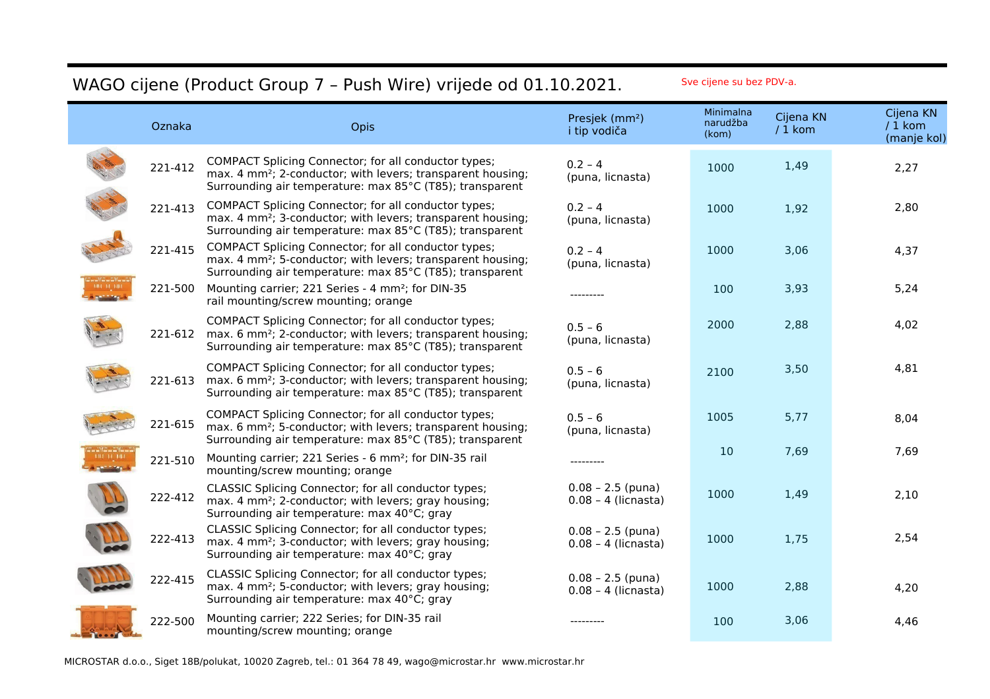## WAGO cijene (Product Group 7 - Push Wire) vrijede od 01.10.2021. Sve cijene su bez PDV-a.

| Oznaka  | Opis                                                                                                                                                                                        | Presjek (mm <sup>2</sup> )<br>i tip vodiča   | Minimalna<br>narudžba<br>(kom) | Cijena KN<br>$/1$ kom | Cijena KN<br>$/1$ kom<br>(manje kol) |
|---------|---------------------------------------------------------------------------------------------------------------------------------------------------------------------------------------------|----------------------------------------------|--------------------------------|-----------------------|--------------------------------------|
| 221-412 | COMPACT Splicing Connector; for all conductor types;<br>max. 4 mm <sup>2</sup> ; 2-conductor; with levers; transparent housing;<br>Surrounding air temperature: max 85°C (T85); transparent | $0.2 - 4$<br>(puna, licnasta)                | 1000                           | 1,49                  | 2,27                                 |
| 221-413 | COMPACT Splicing Connector; for all conductor types;<br>max. 4 mm <sup>2</sup> ; 3-conductor; with levers; transparent housing;<br>Surrounding air temperature: max 85°C (T85); transparent | $0.2 - 4$<br>(puna, licnasta)                | 1000                           | 1,92                  | 2,80                                 |
| 221-415 | COMPACT Splicing Connector; for all conductor types;<br>max. 4 mm <sup>2</sup> ; 5-conductor; with levers; transparent housing;<br>Surrounding air temperature: max 85°C (T85); transparent | $0.2 - 4$<br>(puna, licnasta)                | 1000                           | 3,06                  | 4,37                                 |
| 221-500 | Mounting carrier; 221 Series - 4 mm <sup>2</sup> ; for DIN-35<br>rail mounting/screw mounting; orange                                                                                       | --------                                     | 100                            | 3,93                  | 5,24                                 |
| 221-612 | COMPACT Splicing Connector; for all conductor types;<br>max. 6 mm <sup>2</sup> ; 2-conductor; with levers; transparent housing;<br>Surrounding air temperature: max 85°C (T85); transparent | $0.5 - 6$<br>(puna, licnasta)                | 2000                           | 2,88                  | 4,02                                 |
| 221-613 | COMPACT Splicing Connector; for all conductor types;<br>max. 6 mm <sup>2</sup> ; 3-conductor; with levers; transparent housing;<br>Surrounding air temperature: max 85°C (T85); transparent | $0.5 - 6$<br>(puna, licnasta)                | 2100                           | 3,50                  | 4,81                                 |
| 221-615 | COMPACT Splicing Connector; for all conductor types;<br>max. 6 mm <sup>2</sup> ; 5-conductor; with levers; transparent housing;<br>Surrounding air temperature: max 85°C (T85); transparent | $0.5 - 6$<br>(puna, licnasta)                | 1005                           | 5,77                  | 8,04                                 |
| 221-510 | Mounting carrier; 221 Series - 6 mm <sup>2</sup> ; for DIN-35 rail<br>mounting/screw mounting; orange                                                                                       | --------                                     | 10                             | 7,69                  | 7,69                                 |
| 222-412 | CLASSIC Splicing Connector; for all conductor types;<br>max. 4 mm <sup>2</sup> ; 2-conductor; with levers; gray housing;<br>Surrounding air temperature: max 40°C; gray                     | $0.08 - 2.5$ (puna)<br>$0.08 - 4$ (licnasta) | 1000                           | 1,49                  | 2,10                                 |
| 222-413 | CLASSIC Splicing Connector; for all conductor types;<br>max. 4 mm <sup>2</sup> ; 3-conductor; with levers; gray housing;<br>Surrounding air temperature: max 40°C; gray                     | $0.08 - 2.5$ (puna)<br>$0.08 - 4$ (licnasta) | 1000                           | 1,75                  | 2,54                                 |
| 222-415 | CLASSIC Splicing Connector; for all conductor types;<br>max. 4 mm <sup>2</sup> ; 5-conductor; with levers; gray housing;<br>Surrounding air temperature: max 40°C; gray                     | $0.08 - 2.5$ (puna)<br>$0.08 - 4$ (licnasta) | 1000                           | 2,88                  | 4,20                                 |
| 222-500 | Mounting carrier; 222 Series; for DIN-35 rail<br>mounting/screw mounting; orange                                                                                                            |                                              | 100                            | 3,06                  | 4,46                                 |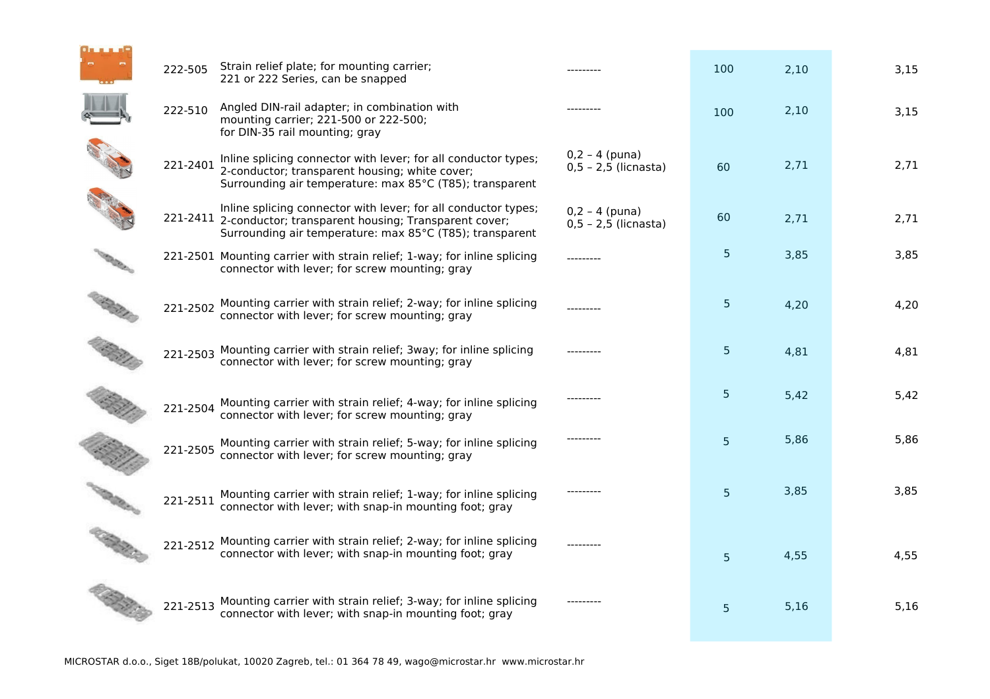| 222-505  | Strain relief plate; for mounting carrier;<br>221 or 222 Series, can be snapped                                                                                                             |                                              | 100            | 2,10 | 3,15 |
|----------|---------------------------------------------------------------------------------------------------------------------------------------------------------------------------------------------|----------------------------------------------|----------------|------|------|
| 222-510  | Angled DIN-rail adapter; in combination with<br>mounting carrier; 221-500 or 222-500;<br>for DIN-35 rail mounting; gray                                                                     |                                              | 100            | 2,10 | 3,15 |
| 221-2401 | Inline splicing connector with lever; for all conductor types;<br>2-conductor; transparent housing; white cover;<br>Surrounding air temperature: max 85°C (T85); transparent                | $0,2 - 4$ (puna)<br>$0,5 - 2,5$ (licnasta)   | 60             | 2,71 | 2,71 |
|          | Inline splicing connector with lever; for all conductor types;<br>221-2411 2-conductor; transparent housing; Transparent cover;<br>Surrounding air temperature: max 85°C (T85); transparent | $0,2 - 4$ (puna)<br>$0, 5 - 2, 5$ (licnasta) | 60             | 2,71 | 2,71 |
|          | 221-2501 Mounting carrier with strain relief; 1-way; for inline splicing<br>connector with lever; for screw mounting; gray                                                                  |                                              | 5              | 3,85 | 3,85 |
| 221-2502 | Mounting carrier with strain relief; 2-way; for inline splicing<br>connector with lever; for screw mounting; gray                                                                           |                                              | 5 <sub>5</sub> | 4,20 | 4,20 |
| 221-2503 | Mounting carrier with strain relief; 3way; for inline splicing<br>connector with lever; for screw mounting; gray                                                                            |                                              | 5 <sub>5</sub> | 4,81 | 4,81 |
| 221-2504 | Mounting carrier with strain relief; 4-way; for inline splicing<br>connector with lever; for screw mounting; gray                                                                           |                                              | 5 <sub>1</sub> | 5,42 | 5,42 |
| 221-2505 | Mounting carrier with strain relief; 5-way; for inline splicing<br>connector with lever; for screw mounting; gray                                                                           |                                              | 5              | 5,86 | 5,86 |
| 221-2511 | Mounting carrier with strain relief; 1-way; for inline splicing<br>connector with lever; with snap-in mounting foot; gray                                                                   |                                              | 5 <sup>5</sup> | 3,85 | 3,85 |
|          | 221-2512 Mounting carrier with strain relief; 2-way; for inline splicing<br>connector with lever; with snap-in mounting foot; gray                                                          |                                              | 5              | 4,55 | 4,55 |
| 221-2513 | Mounting carrier with strain relief; 3-way; for inline splicing<br>connector with lever; with snap-in mounting foot; gray                                                                   |                                              | 5              | 5,16 | 5,16 |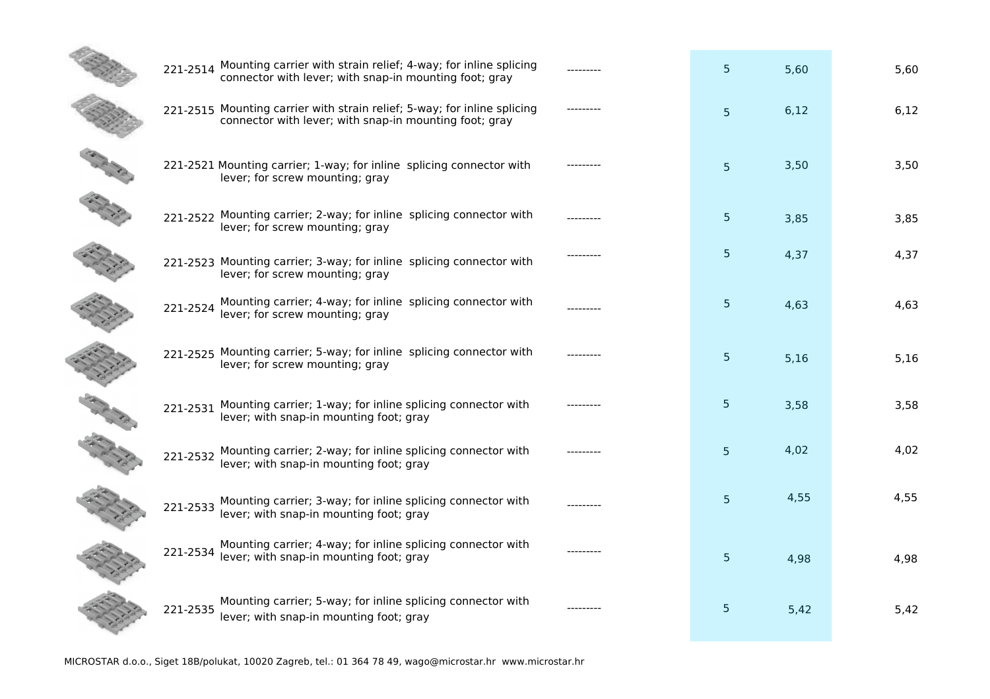|          | 221-2514 Mounting carrier with strain relief; 4-way; for inline splicing<br>connector with lever; with snap-in mounting foot; gray | 5 <sup>5</sup> | 5,60 | 5,60 |
|----------|------------------------------------------------------------------------------------------------------------------------------------|----------------|------|------|
|          | 221-2515 Mounting carrier with strain relief; 5-way; for inline splicing<br>connector with lever; with snap-in mounting foot; gray | 5 <sup>5</sup> | 6,12 | 6,12 |
|          | 221-2521 Mounting carrier; 1-way; for inline splicing connector with<br>lever; for screw mounting; gray                            | 5 <sup>1</sup> | 3,50 | 3,50 |
|          | 221-2522 Mounting carrier; 2-way; for inline splicing connector with<br>lever; for screw mounting; gray                            | 5 <sup>5</sup> | 3,85 | 3,85 |
|          | 221-2523 Mounting carrier; 3-way; for inline splicing connector with<br>lever; for screw mounting; gray                            | 5 <sub>1</sub> | 4,37 | 4,37 |
| 221-2524 | Mounting carrier; 4-way; for inline splicing connector with lever; for screw mounting; gray                                        | 5 <sup>5</sup> | 4,63 | 4,63 |
| 221-2525 | Mounting carrier; 5-way; for inline splicing connector with<br>lever; for screw mounting; gray                                     | 5 <sup>5</sup> | 5,16 | 5,16 |
| 221-2531 | Mounting carrier; 1-way; for inline splicing connector with<br>lever; with snap-in mounting foot; gray                             | 5 <sub>1</sub> | 3,58 | 3,58 |
| 221-2532 | Mounting carrier; 2-way; for inline splicing connector with<br>lever; with snap-in mounting foot; gray                             | 5 <sup>5</sup> | 4,02 | 4,02 |
| 221-2533 | Mounting carrier; 3-way; for inline splicing connector with<br>lever; with snap-in mounting foot; gray                             | 5 <sup>5</sup> | 4,55 | 4,55 |
| 221-2534 | Mounting carrier; 4-way; for inline splicing connector with<br>lever; with snap-in mounting foot; gray                             | 5 <sup>5</sup> | 4,98 | 4,98 |
| 221-2535 | Mounting carrier; 5-way; for inline splicing connector with<br>lever; with snap-in mounting foot; gray                             | 5              | 5,42 | 5,42 |
|          |                                                                                                                                    |                |      |      |

**Service**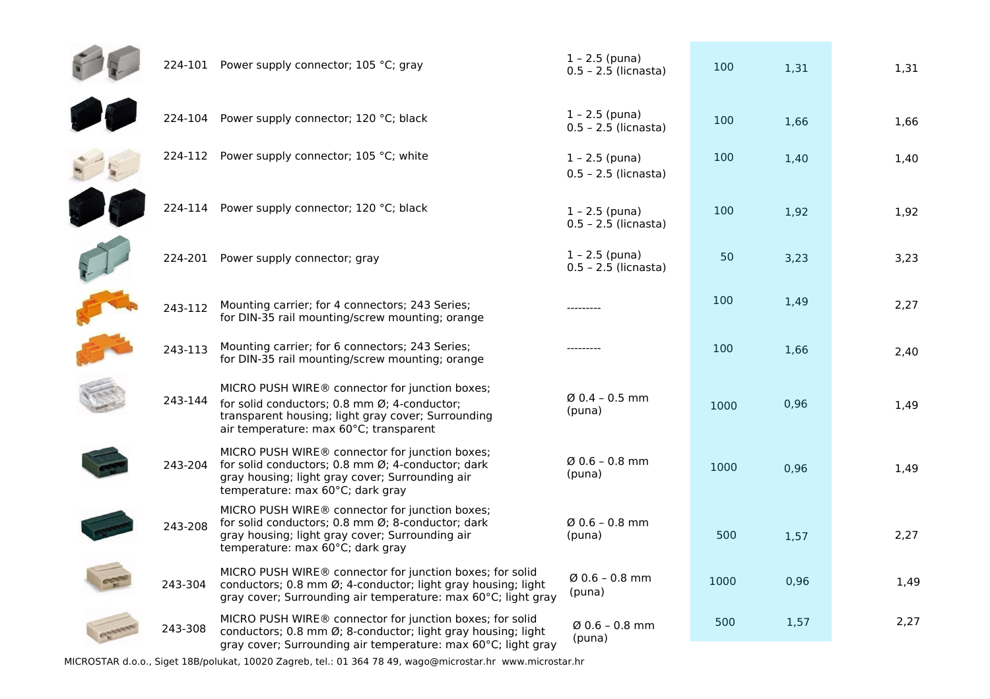|         | 224-101 Power supply connector; 105 °C; gray                                                                                                                                                   | $1 - 2.5$ (puna)<br>$0.5 - 2.5$ (licnasta) | 100  | 1,31 | 1,31 |
|---------|------------------------------------------------------------------------------------------------------------------------------------------------------------------------------------------------|--------------------------------------------|------|------|------|
| 224-104 | Power supply connector; 120 °C; black                                                                                                                                                          | $1 - 2.5$ (puna)<br>$0.5 - 2.5$ (licnasta) | 100  | 1,66 | 1,66 |
|         | 224-112 Power supply connector; 105 °C; white                                                                                                                                                  | $1 - 2.5$ (puna)<br>$0.5 - 2.5$ (licnasta) | 100  | 1,40 | 1,40 |
|         | 224-114 Power supply connector; 120 °C; black                                                                                                                                                  | $1 - 2.5$ (puna)<br>$0.5 - 2.5$ (licnasta) | 100  | 1,92 | 1,92 |
|         | 224-201 Power supply connector; gray                                                                                                                                                           | $1 - 2.5$ (puna)<br>$0.5 - 2.5$ (licnasta) | 50   | 3,23 | 3,23 |
| 243-112 | Mounting carrier; for 4 connectors; 243 Series;<br>for DIN-35 rail mounting/screw mounting; orange                                                                                             | ---------                                  | 100  | 1,49 | 2,27 |
| 243-113 | Mounting carrier; for 6 connectors; 243 Series;<br>for DIN-35 rail mounting/screw mounting; orange                                                                                             | ---------                                  | 100  | 1,66 | 2,40 |
| 243-144 | MICRO PUSH WIRE® connector for junction boxes;<br>for solid conductors; 0.8 mm Ø; 4-conductor;<br>transparent housing; light gray cover; Surrounding<br>air temperature: max 60°C; transparent | $Ø$ 0.4 - 0.5 mm<br>(puna)                 | 1000 | 0,96 | 1,49 |
| 243-204 | MICRO PUSH WIRE® connector for junction boxes;<br>for solid conductors; 0.8 mm Ø; 4-conductor; dark<br>gray housing; light gray cover; Surrounding air<br>temperature: max 60°C; dark gray     | $Ø$ 0.6 - 0.8 mm<br>(puna)                 | 1000 | 0,96 | 1,49 |
| 243-208 | MICRO PUSH WIRE® connector for junction boxes;<br>for solid conductors; 0.8 mm Ø; 8-conductor; dark<br>gray housing; light gray cover; Surrounding air<br>temperature: max 60°C; dark gray     | $Ø$ 0.6 - 0.8 mm<br>(puna)                 | 500  | 1,57 | 2,27 |
| 243-304 | MICRO PUSH WIRE® connector for junction boxes; for solid<br>conductors; 0.8 mm Ø; 4-conductor; light gray housing; light<br>gray cover; Surrounding air temperature: max 60°C; light gray      | $Ø$ 0.6 - 0.8 mm<br>(puna)                 | 1000 | 0,96 | 1,49 |
| 243-308 | MICRO PUSH WIRE® connector for junction boxes; for solid<br>conductors; 0.8 mm Ø; 8-conductor; light gray housing; light<br>gray cover; Surrounding air temperature: max 60°C; light gray      | $\varnothing$ 0.6 – 0.8 mm<br>(puna)       | 500  | 1,57 | 2,27 |

MICROSTAR d.o.o., Siget 18B/polukat, 10020 Zagreb, tel.: 01 364 78 49, wago@microstar.hr www.microstar.hr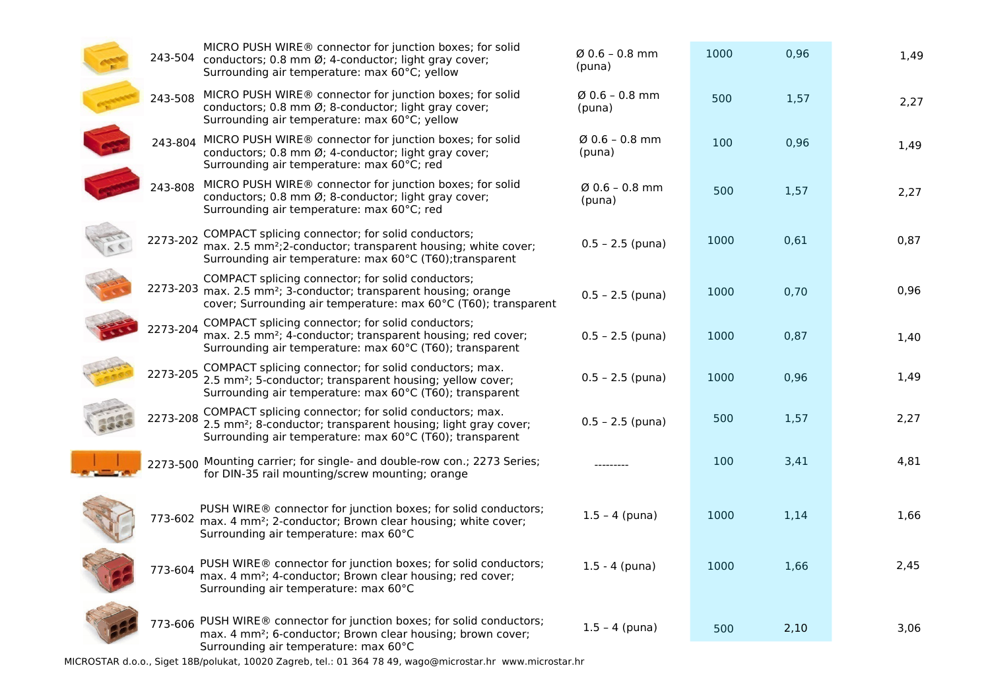|          | MICRO PUSH WIRE® connector for junction boxes; for solid<br>243-504 conductors; 0.8 mm Ø; 4-conductor; light gray cover;<br>Surrounding air temperature: max 60°C; yellow                            | $Ø$ 0.6 - 0.8 mm<br>(puna) | 1000 | 0,96 | 1,49 |
|----------|------------------------------------------------------------------------------------------------------------------------------------------------------------------------------------------------------|----------------------------|------|------|------|
| 243-508  | MICRO PUSH WIRE® connector for junction boxes; for solid<br>conductors; 0.8 mm Ø; 8-conductor; light gray cover;<br>Surrounding air temperature: max 60°C; yellow                                    | $Ø$ 0.6 - 0.8 mm<br>(puna) | 500  | 1,57 | 2,27 |
|          | 243-804 MICRO PUSH WIRE® connector for junction boxes; for solid<br>conductors; 0.8 mm Ø; 4-conductor; light gray cover;<br>Surrounding air temperature: max 60°C; red                               | $Ø$ 0.6 - 0.8 mm<br>(puna) | 100  | 0,96 | 1,49 |
| 243-808  | MICRO PUSH WIRE® connector for junction boxes; for solid<br>conductors; 0.8 mm Ø; 8-conductor; light gray cover;<br>Surrounding air temperature: max 60°C; red                                       | $Ø$ 0.6 - 0.8 mm<br>(puna) | 500  | 1,57 | 2,27 |
| 2273-202 | COMPACT splicing connector; for solid conductors;<br>max. 2.5 mm <sup>2</sup> ;2-conductor; transparent housing; white cover;<br>Surrounding air temperature: max 60°C (T60); transparent            | $0.5 - 2.5$ (puna)         | 1000 | 0,61 | 0,87 |
|          | COMPACT splicing connector; for solid conductors;<br>2273-203 max. 2.5 mm <sup>2</sup> ; 3-conductor; transparent housing; orange<br>cover; Surrounding air temperature: max 60°C (T60); transparent | $0.5 - 2.5$ (puna)         | 1000 | 0,70 | 0,96 |
| 2273-204 | COMPACT splicing connector; for solid conductors;<br>max. 2.5 mm <sup>2</sup> ; 4-conductor; transparent housing; red cover;<br>Surrounding air temperature: max 60°C (T60); transparent             | $0.5 - 2.5$ (puna)         | 1000 | 0,87 | 1,40 |
| 2273-205 | COMPACT splicing connector; for solid conductors; max.<br>2.5 mm <sup>2</sup> ; 5-conductor; transparent housing; yellow cover;<br>Surrounding air temperature: max 60°C (T60); transparent          | $0.5 - 2.5$ (puna)         | 1000 | 0,96 | 1,49 |
| 2273-208 | COMPACT splicing connector; for solid conductors; max.<br>2.5 mm <sup>2</sup> ; 8-conductor; transparent housing; light gray cover;<br>Surrounding air temperature: max 60°C (T60); transparent      | $0.5 - 2.5$ (puna)         | 500  | 1,57 | 2,27 |
|          | 2273-500 Mounting carrier; for single- and double-row con.; 2273 Series;<br>for DIN-35 rail mounting/screw mounting; orange                                                                          |                            | 100  | 3,41 | 4,81 |
|          | PUSH WIRE® connector for junction boxes; for solid conductors;<br>773-602 max. 4 mm <sup>2</sup> ; 2-conductor; Brown clear housing; white cover;<br>Surrounding air temperature: max 60°C           | $1.5 - 4$ (puna)           | 1000 | 1,14 | 1,66 |
| 773-604  | PUSH WIRE® connector for junction boxes; for solid conductors;<br>max. 4 mm <sup>2</sup> ; 4-conductor; Brown clear housing; red cover;<br>Surrounding air temperature: max 60°C                     | $1.5 - 4$ (puna)           | 1000 | 1,66 | 2,45 |
|          | 773-606 PUSH WIRE® connector for junction boxes; for solid conductors;<br>max. 4 mm <sup>2</sup> ; 6-conductor; Brown clear housing; brown cover;<br>Surrounding air temperature: max 60°C           | $1.5 - 4$ (puna)           | 500  | 2,10 | 3,06 |

MICROSTAR d.o.o., Siget 18B/polukat, 10020 Zagreb, tel.: 01 364 78 49, wago@microstar.hr www.microstar.hr